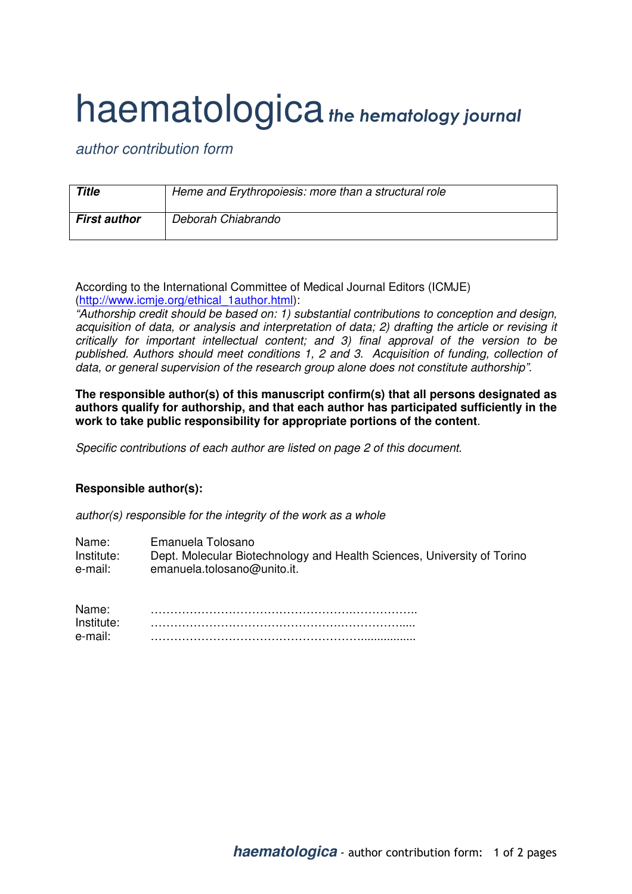## haematologica the hematology journal

author contribution form

| <b>Title</b>        | Heme and Erythropoiesis: more than a structural role |
|---------------------|------------------------------------------------------|
| <b>First author</b> | Deborah Chiabrando                                   |

According to the International Committee of Medical Journal Editors (ICMJE) (http://www.icmje.org/ethical\_1author.html):

"Authorship credit should be based on: 1) substantial contributions to conception and design, acquisition of data, or analysis and interpretation of data; 2) drafting the article or revising it critically for important intellectual content; and 3) final approval of the version to be published. Authors should meet conditions 1, 2 and 3. Acquisition of funding, collection of data, or general supervision of the research group alone does not constitute authorship".

**The responsible author(s) of this manuscript confirm(s) that all persons designated as authors qualify for authorship, and that each author has participated sufficiently in the work to take public responsibility for appropriate portions of the content**.

Specific contributions of each author are listed on page 2 of this document.

## **Responsible author(s):**

author(s) responsible for the integrity of the work as a whole

| Name:      | Emanuela Tolosano                                                       |
|------------|-------------------------------------------------------------------------|
| Institute: | Dept. Molecular Biotechnology and Health Sciences, University of Torino |
| e-mail:    | emanuela.tolosano@unito.it.                                             |

| Name:      |  |
|------------|--|
| Institute: |  |
| e-mail     |  |